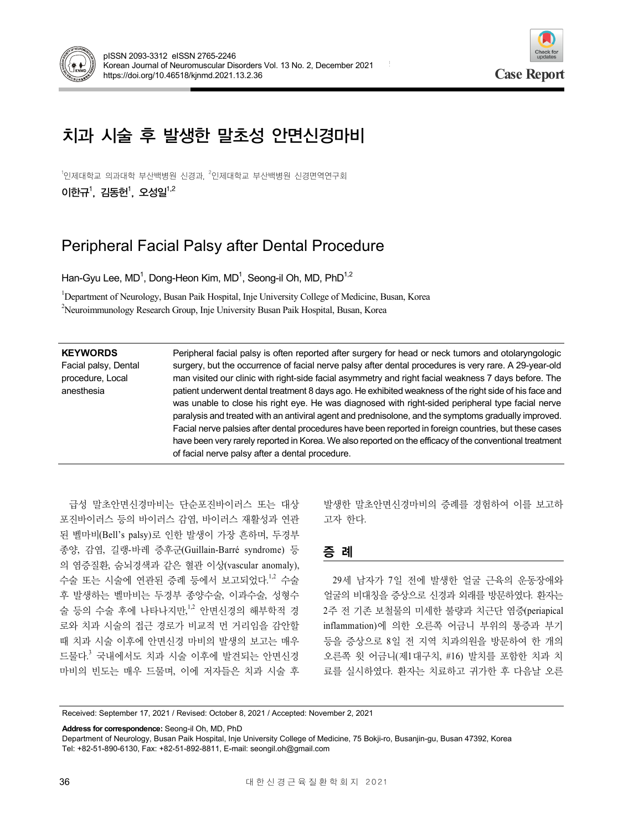



# 치과 시술 후 발생한 말초성 안면신경마비

 $^{\rm 1}$ 인제대학교 의과대학원 신경과, 무인제대학교 부산백병원 신경면역연구회 이한규<sup>1</sup>, 김동헌<sup>1</sup>, 오성일<sup>1,2</sup>

## Peripheral Facial Palsy after Dental Procedure

Han-Gyu Lee, MD<sup>1</sup>, Dong-Heon Kim, MD<sup>1</sup>, Seong-il Oh, MD, PhD<sup>1,2</sup>

<sup>1</sup>Department of Neurology, Busan Paik Hospital, Inje University College of Medicine, Busan, Korea <sup>2</sup>Neuroimmunology Research Group, Inje University Busan Paik Hospital, Busan, Korea

| <b>KEYWORDS</b><br>Facial palsy, Dental<br>procedure, Local<br>anesthesia | Peripheral facial palsy is often reported after surgery for head or neck tumors and otolaryngologic<br>surgery, but the occurrence of facial nerve palsy after dental procedures is very rare. A 29-year-old<br>man visited our clinic with right-side facial asymmetry and right facial weakness 7 days before. The<br>patient underwent dental treatment 8 days ago. He exhibited weakness of the right side of his face and<br>was unable to close his right eye. He was diagnosed with right-sided peripheral type facial nerve<br>paralysis and treated with an antiviral agent and prednisolone, and the symptoms gradually improved.<br>Facial nerve palsies after dental procedures have been reported in foreign countries, but these cases |
|---------------------------------------------------------------------------|------------------------------------------------------------------------------------------------------------------------------------------------------------------------------------------------------------------------------------------------------------------------------------------------------------------------------------------------------------------------------------------------------------------------------------------------------------------------------------------------------------------------------------------------------------------------------------------------------------------------------------------------------------------------------------------------------------------------------------------------------|
|                                                                           | have been very rarely reported in Korea. We also reported on the efficacy of the conventional treatment<br>of facial nerve palsy after a dental procedure.                                                                                                                                                                                                                                                                                                                                                                                                                                                                                                                                                                                           |

급성 말초안면신경마비는 단순포진바이러스 또는 대상 포진바이러스 등의 바이러스 감염, 바이러스 재활성과 연관 된 벨마비(Bell's palsy)로 인한 발생이 가장 흔하며, 두경부 종양, 감염, 길랭-바레 증후군(Guillain-Barré syndrome) 등 의 염증질환, 숨뇌경색과 같은 혈관 이상(vascular anomaly), 수술 또는 시술에 연관된 증례 등에서 보고되었다.<sup>1,2</sup> 수술 후 발생하는 벨마비는 두경부 종양수술, 이과수술, 성형수 술 등의 수술 후에 나타나지만,<sup>1,2</sup> 안면신경의 해부학적 경 로와 치과 시술의 접근 경로가 비교적 먼 거리임을 감안할 때 치과 시술 이후에 안면신경 마비의 발생의 보고는 매우 드물다. <sup>3</sup> 국내에서도 치과 시술 이후에 발견되는 안면신경 마비의 빈도는 매우 드물며, 이에 저자들은 치과 시술 후

발생한 말초안면신경마비의 증례를 경험하여 이를 보고하 고자 한다.

## 증 례

29세 남자가 7일 전에 발생한 얼굴 근육의 운동장애와 얼굴의 비대칭을 증상으로 신경과 외래를 방문하였다. 환자는 2주 전 기존 보철물의 미세한 불량과 치근단 염증(periapical inflammation)에 의한 오른쪽 어금니 부위의 통증과 부기 등을 증상으로 8일 전 지역 치과의원을 방문하여 한 개의 오른쪽 윗 어금니(제1대구치, #16) 발치를 포함한 치과 치 료를 실시하였다. 환자는 치료하고 귀가한 후 다음날 오른

Received: September 17, 2021 / Revised: October 8, 2021 / Accepted: November 2, 2021

**Address for correspondence:** Seong-il Oh, MD, PhD

Department of Neurology, Busan Paik Hospital, Inje University College of Medicine, 75 Bokji-ro, Busanjin-gu, Busan 47392, Korea Tel: +82-51-890-6130, Fax: +82-51-892-8811, E-mail: seongil.oh@gmail.com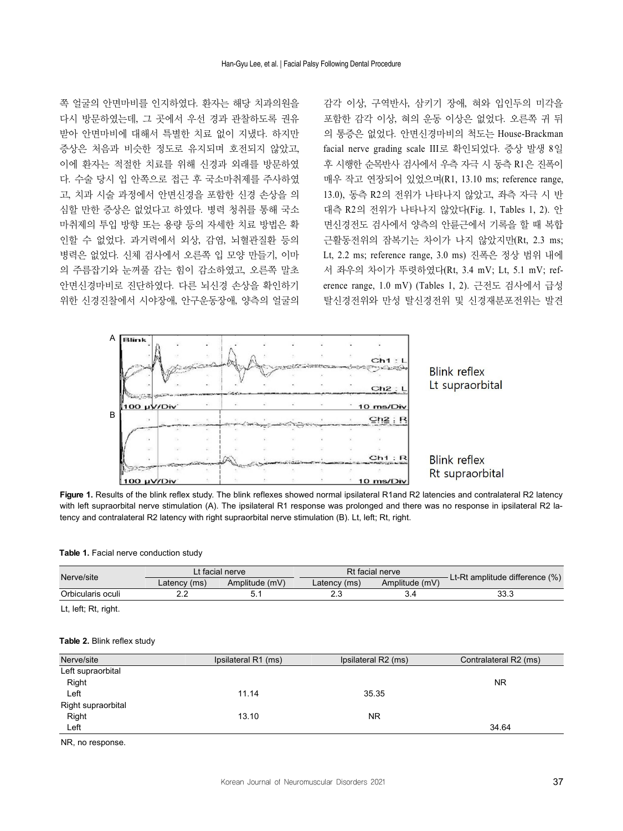쪽 얼굴의 안면마비를 인지하였다. 환자는 해당 치과의원을 다시 방문하였는데, 그 곳에서 우선 경과 관찰하도록 권유 받아 안면마비에 대해서 특별한 치료 없이 지냈다. 하지만 증상은 처음과 비슷한 정도로 유지되며 호전되지 않았고, 이에 환자는 적절한 치료를 위해 신경과 외래를 방문하였 다. 수술 당시 입 안쪽으로 접근 후 국소마취제를 주사하였 고, 치과 시술 과정에서 안면신경을 포함한 신경 손상을 의 심할 만한 증상은 없었다고 하였다. 병력 청취를 통해 국소 마취제의 투입 방향 또는 용량 등의 자세한 치료 방법은 확 인할 수 없었다. 과거력에서 외상, 감염, 뇌혈관질환 등의 병력은 없었다. 신체 검사에서 오른쪽 입 모양 만들기, 이마 의 주름잡기와 눈꺼풀 감는 힘이 감소하였고, 오른쪽 말초 안면신경마비로 진단하였다. 다른 뇌신경 손상을 확인하기 위한 신경진찰에서 시야장애, 안구운동장애, 양측의 얼굴의

감각 이상, 구역반사, 삼키기 장애, 혀와 입인두의 미각을 포함한 감각 이상, 혀의 운동 이상은 없었다. 오른쪽 귀 뒤 의 통증은 없었다. 안면신경마비의 척도는 House-Brackman facial nerve grading scale III로 확인되었다. 증상 발생 8일 후 시행한 순목반사 검사에서 우측 자극 시 동측 R1은 진폭이 매우 작고 연장되어 있었으며(R1, 13.10 ms; reference range, 13.0), 동측 R2의 전위가 나타나지 않았고, 좌측 자극 시 반 대측 R2의 전위가 나타나지 않았다(Fig. 1, Tables 1, 2). 안 면신경전도 검사에서 양측의 안륜근에서 기록을 할 때 복합 근활동전위의 잠복기는 차이가 나지 않았지만(Rt, 2.3 ms; Lt, 2.2 ms; reference range, 3.0 ms) 진폭은 정상 범위 내에 서 좌우의 차이가 뚜렷하였다(Rt, 3.4 mV; Lt, 5.1 mV; reference range, 1.0 mV) (Tables 1, 2). 근전도 검사에서 급성 탈신경전위와 만성 탈신경전위 및 신경재분포전위는 발견



Figure 1. Results of the blink reflex study. The blink reflexes showed normal ipsilateral R1and R2 latencies and contralateral R2 latency with left supraorbital nerve stimulation (A). The ipsilateral R1 response was prolonged and there was no response in ipsilateral R2 latency and contralateral R2 latency with right supraorbital nerve stimulation (B). Lt, left; Rt, right.

#### **Table 1.** Facial nerve conduction study

| Nerve/site        | Lt facial nerve |                | Rt facial nerve |                |                                |
|-------------------|-----------------|----------------|-----------------|----------------|--------------------------------|
|                   | Latency (ms)    | Amplitude (mV) | Latency (ms)    | Amplitude (mV) | Lt-Rt amplitude difference (%) |
| Orbicularis oculi | ے ۔             |                |                 |                | 33.3                           |

Lt, left; Rt, right.

#### **Table 2.** Blink reflex study

| Nerve/site           | Ipsilateral R1 (ms) | Ipsilateral R2 (ms) | Contralateral R2 (ms) |
|----------------------|---------------------|---------------------|-----------------------|
| Left supraorbital    |                     |                     |                       |
| Right                |                     |                     | NR.                   |
| Left                 | 11.14               | 35.35               |                       |
| Right supraorbital   |                     |                     |                       |
| Right                | 13.10               | <b>NR</b>           |                       |
| Left                 |                     |                     | 34.64                 |
| $\sim$ $\sim$ $\sim$ |                     |                     |                       |

NR, no response.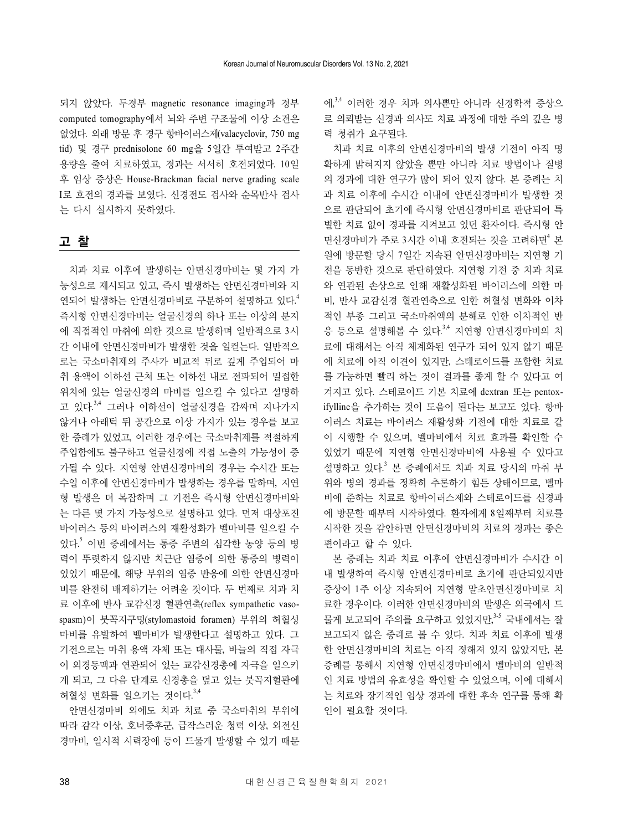되지 않았다. 두경부 magnetic resonance imaging과 경부 computed tomography에서 뇌와 주변 구조물에 이상 소견은 없었다. 외래 방문 후 경구 항바이러스제(valacyclovir, 750 mg tid) 및 경구 prednisolone 60 mg을 5일간 투여받고 2주간 용량을 줄여 치료하였고, 경과는 서서히 호전되었다. 10일 후 임상 증상은 House-Brackman facial nerve grading scale I로 호전의 경과를 보였다. 신경전도 검사와 순목반사 검사 는 다시 실시하지 못하였다.

### 고 찰

치과 치료 이후에 발생하는 안면신경마비는 몇 가지 가 능성으로 제시되고 있고, 즉시 발생하는 안면신경마비와 지 연되어 발생하는 안면신경마비로 구분하여 설명하고 있다. 4 즉시형 안면신경마비는 얼굴신경의 하나 또는 이상의 분지 에 직접적인 마취에 의한 것으로 발생하며 일반적으로 3시 간 이내에 안면신경마비가 발생한 것을 일컫는다. 일반적으 로는 국소마취제의 주사가 비교적 뒤로 깊게 주입되어 마 취 용액이 이하선 근처 또는 이하선 내로 전파되어 밀접한 위치에 있는 얼굴신경의 마비를 일으킬 수 있다고 설명하 고 있다.<sup>3,4</sup> 그러나 이하선이 얼굴신경을 감싸며 지나가지 않거나 아래턱 뒤 공간으로 이상 가지가 있는 경우를 보고 한 증례가 있었고, 이러한 경우에는 국소마취제를 적절하게 주입함에도 불구하고 얼굴신경에 직접 노출의 가능성이 증 가될 수 있다. 지연형 안면신경마비의 경우는 수시간 또는 수일 이후에 안면신경마비가 발생하는 경우를 말하며, 지연 형 발생은 더 복잡하며 그 기전은 즉시형 안면신경마비와 는 다른 몇 가지 가능성으로 설명하고 있다. 먼저 대상포진 바이러스 등의 바이러스의 재활성화가 벨마비를 일으킬 수 있다. <sup>5</sup> 이번 증례에서는 통증 주변의 심각한 농양 등의 병 력이 뚜렷하지 않지만 치근단 염증에 의한 통증의 병력이 있었기 때문에, 해당 부위의 염증 반응에 의한 안면신경마 비를 완전히 배제하기는 어려울 것이다. 두 번째로 치과 치 료 이후에 반사 교감신경 혈관연축(reflex sympathetic vasospasm)이 붓꼭지구멍(stylomastoid foramen) 부위의 허혈성 마비를 유발하여 벨마비가 발생한다고 설명하고 있다. 그 기전으로는 마취 용액 자체 또는 대사물, 바늘의 직접 자극 이 외경동맥과 연관되어 있는 교감신경총에 자극을 일으키 게 되고, 그 다음 단계로 신경총을 덮고 있는 붓꼭지혈관에 허혈성 변화를 일으키는 것이다. 3,4

안면신경마비 외에도 치과 치료 중 국소마취의 부위에 따라 감각 이상, 호너증후군, 급작스러운 청력 이상, 외전신 경마비, 일시적 시력장애 등이 드물게 발생할 수 있기 때문 에, 3,4 이러한 경우 치과 의사뿐만 아니라 신경학적 증상으 로 의뢰받는 신경과 의사도 치료 과정에 대한 주의 깊은 병 력 청취가 요구된다.

치과 치료 이후의 안면신경마비의 발생 기전이 아직 명 확하게 밝혀지지 않았을 뿐만 아니라 치료 방법이나 질병 의 경과에 대한 연구가 많이 되어 있지 않다. 본 증례는 치 과 치료 이후에 수시간 이내에 안면신경마비가 발생한 것 으로 판단되어 초기에 즉시형 안면신경마비로 판단되어 특 별한 치료 없이 경과를 지켜보고 있던 환자이다. 즉시형 안 면신경마비가 주로 3시간 이내 호전되는 것을 고려하면<sup>4</sup> 본 원에 방문할 당시 7일간 지속된 안면신경마비는 지연형 기 전을 동반한 것으로 판단하였다. 지연형 기전 중 치과 치료 와 연관된 손상으로 인해 재활성화된 바이러스에 의한 마 비, 반사 교감신경 혈관연축으로 인한 허혈성 변화와 이차 적인 부종 그리고 국소마취액의 분해로 인한 이차적인 반 응 등으로 설명해볼 수 있다.<sup>3,4</sup> 지연형 안면신경마비의 치 료에 대해서는 아직 체계화된 연구가 되어 있지 않기 때문 에 치료에 아직 이견이 있지만, 스테로이드를 포함한 치료 를 가능하면 빨리 하는 것이 결과를 좋게 할 수 있다고 여 겨지고 있다. 스테로이드 기본 치료에 dextran 또는 pentoxifylline을 추가하는 것이 도움이 된다는 보고도 있다. 항바 이러스 치료는 바이러스 재활성화 기전에 대한 치료로 같 이 시행할 수 있으며, 벨마비에서 치료 효과를 확인할 수 있었기 때문에 지연형 안면신경마비에 사용될 수 있다고 설명하고 있다. <sup>3</sup> 본 증례에서도 치과 치료 당시의 마취 부 위와 병의 경과를 정확히 추론하기 힘든 상태이므로, 벨마 비에 준하는 치료로 항바이러스제와 스테로이드를 신경과 에 방문할 때부터 시작하였다. 환자에게 8일째부터 치료를 시작한 것을 감안하면 안면신경마비의 치료의 경과는 좋은 편이라고 할 수 있다.

본 증례는 치과 치료 이후에 안면신경마비가 수시간 이 내 발생하여 즉시형 안면신경마비로 초기에 판단되었지만 증상이 1주 이상 지속되어 지연형 말초안면신경마비로 치 료한 경우이다. 이러한 안면신경마비의 발생은 외국에서 드 물게 보고되어 주의를 요구하고 있었지만,<sup>3-5</sup> 국내에서는 잘 보고되지 않은 증례로 볼 수 있다. 치과 치료 이후에 발생 한 안면신경마비의 치료는 아직 정해져 있지 않았지만, 본 증례를 통해서 지연형 안면신경마비에서 벨마비의 일반적 인 치료 방법의 유효성을 확인할 수 있었으며, 이에 대해서 는 치료와 장기적인 임상 경과에 대한 후속 연구를 통해 확 인이 필요할 것이다.